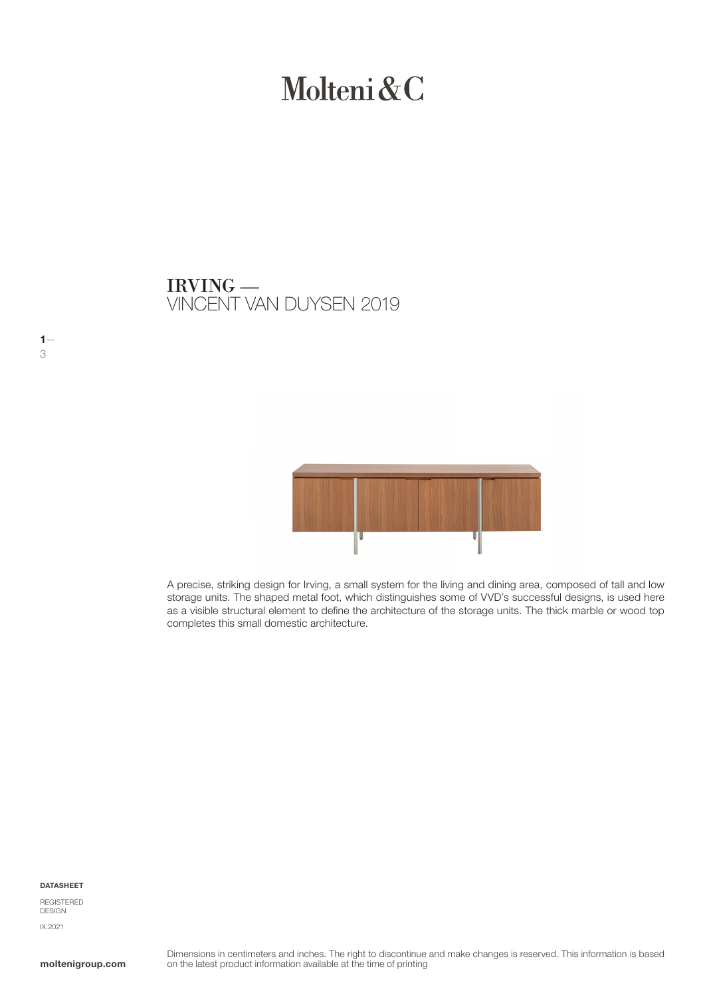# Molteni&C

VINCENT VAN DUYSEN 2019 IRVING —



A precise, striking design for Irving, a small system for the living and dining area, composed of tall and low storage units. The shaped metal foot, which distinguishes some of VVD's successful designs, is used here as a visible structural element to define the architecture of the storage units. The thick marble or wood top completes this small domestic architecture.

DATASHEET

 $1-$ 3

REGISTERED DESIGN IX.2021

moltenigroup.com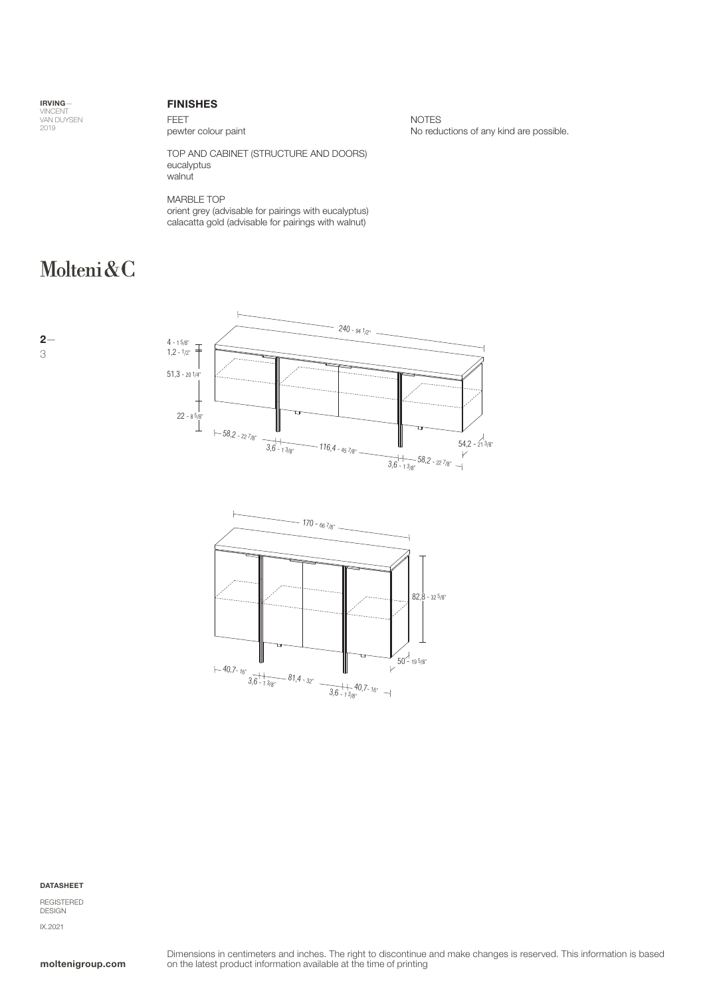IRVING— VINCENT<br>VAN DUYSEN<br>2019

## FINISHES

FEET pewter colour paint

TOP AND CABINET (STRUCTURE AND DOORS) eucalyptus walnut

MARBLE TOP orient grey (advisable for pairings with eucalyptus) calacatta gold (advisable for pairings with walnut)

# Molteni&C

NOTES No reductions of any kind are possible.

2— 3





DATASHEET

REGISTERED DESIGN IX.2021

moltenigroup.com